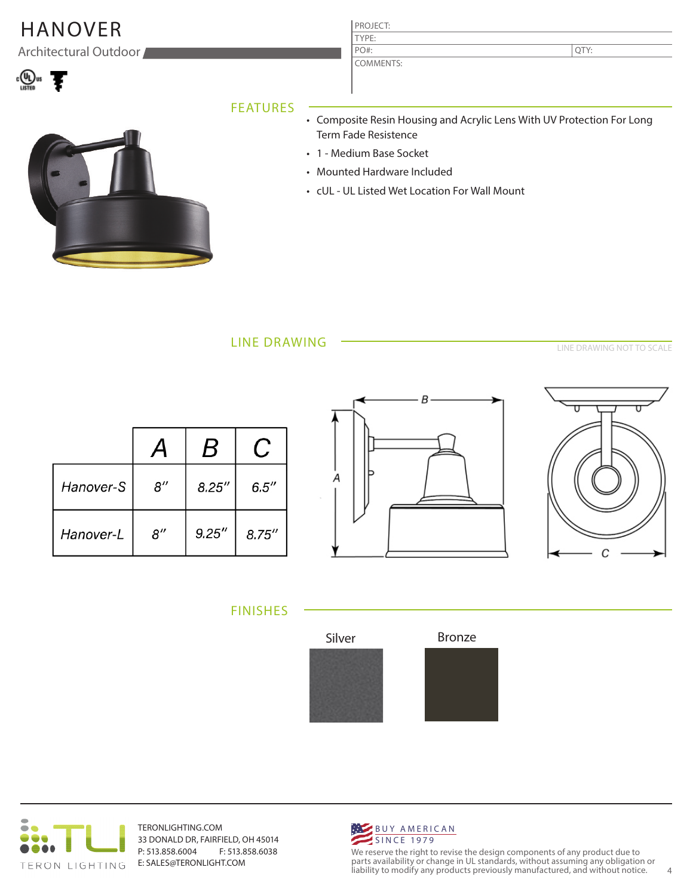# HANOVER PROJECT:

Architectural Outdoor



### TYPE: COMMENTS: PO#:

QTY:

### FEATURES



- Composite Resin Housing and Acrylic Lens With UV Protection For Long Term Fade Resistence
- 1 Medium Base Socket
- Mounted Hardware Included
- cUL UL Listed Wet Location For Wall Mount

LINE DRAWING

LINE DRAWING NOT TO SCALE

|           |                    | B      |        |
|-----------|--------------------|--------|--------|
| Hanover-S | $8^{\prime\prime}$ | 8.25'' | 6.5''  |
| Hanover-L | 8''                | 9.25'' | 8.75'' |





FINISHES





TERONLIGHTING.COM 33 DONALD DR, FAIRFIELD, OH 45014 P: 513.858.6004 F: 513.858.6038 E: SALES@TERONLIGHT.COM



We reserve the right to revise the design components of any product due to parts availability or change in UL standards, without assuming any obligation or liability to modify any products previously manufactured, and without notice. 4